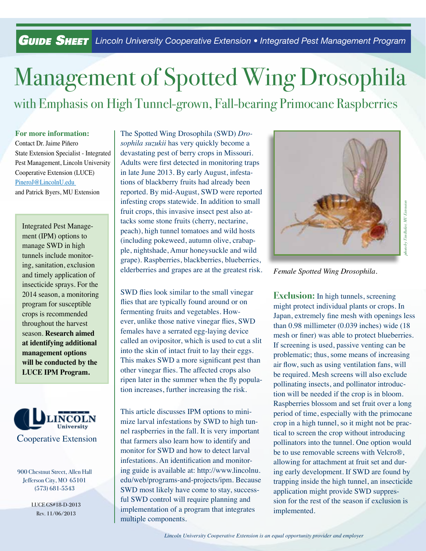*Guide SHEET* Lincoln University Cooperative Extension • Integrated Pest Management Program

## Management of Spotted Wing Drosophila with Emphasis on High Tunnel-grown, Fall-bearing Primocane Raspberries

**For more information:** Contact Dr. Jaime Piñero State Extension Specialist - Integrated Pest Management, Lincoln University Cooperative Extension (LUCE) PineroJ@LincolnU.edu and Patrick Byers, MU Extension

Integrated Pest Management (IPM) options to manage SWD in high tunnels include monitoring, sanitation, exclusion and timely application of insecticide sprays. For the 2014 season, a monitoring program for susceptible crops is recommended throughout the harvest season. **Research aimed at identifying additional management options will be conducted by the LUCE IPM Program.** 



900 Chestnut Street, Allen Hall Jefferson City, MO 65101 (573) 681-5543

> LUCE GS#18-D-2013 Rev. 11/06/2013

The Spotted Wing Drosophila (SWD) *Drosophila suzukii* has very quickly become a devastating pest of berry crops in Missouri. Adults were first detected in monitoring traps in late June 2013. By early August, infestations of blackberry fruits had already been reported. By mid-August, SWD were reported infesting crops statewide. In addition to small fruit crops, this invasive insect pest also attacks some stone fruits (cherry, nectarine, peach), high tunnel tomatoes and wild hosts (including pokeweed, autumn olive, crabapple, nightshade, Amur honeysuckle and wild grape). Raspberries, blackberries, blueberries, elderberries and grapes are at the greatest risk.

SWD flies look similar to the small vinegar flies that are typically found around or on fermenting fruits and vegetables. However, unlike those native vinegar flies, SWD females have a serrated egg-laying device called an ovipositor, which is used to cut a slit into the skin of intact fruit to lay their eggs. This makes SWD a more significant pest than other vinegar flies. The affected crops also ripen later in the summer when the fly population increases, further increasing the risk.

This article discusses IPM options to minimize larval infestations by SWD to high tunnel raspberries in the fall. It is very important that farmers also learn how to identify and monitor for SWD and how to detect larval infestations. An identification and monitoring guide is available at: http://www.lincolnu. edu/web/programs-and-projects/ipm. Because SWD most likely have come to stay, successful SWD control will require planning and implementation of a program that integrates multiple components.



*Female Spotted Wing Drosophila.*

**Exclusion:** In high tunnels, screening might protect individual plants or crops. In Japan, extremely fine mesh with openings less than 0.98 millimeter (0.039 inches) wide (18 mesh or finer) was able to protect blueberries. If screening is used, passive venting can be problematic; thus, some means of increasing air flow, such as using ventilation fans, will be required. Mesh screens will also exclude pollinating insects, and pollinator introduction will be needed if the crop is in bloom. Raspberries blossom and set fruit over a long period of time, especially with the primocane crop in a high tunnel, so it might not be practical to screen the crop without introducing pollinators into the tunnel. One option would be to use removable screens with Velcro®, allowing for attachment at fruit set and during early development. If SWD are found by trapping inside the high tunnel, an insecticide application might provide SWD suppression for the rest of the season if exclusion is implemented.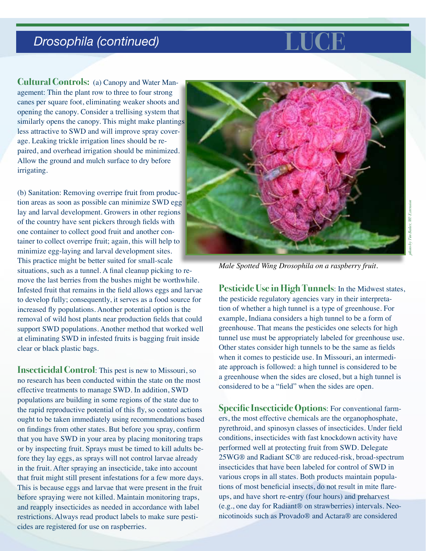## **Drosophila (continued) Luce LUCE**



**Cultural Controls:** (a) Canopy and Water Management: Thin the plant row to three to four strong canes per square foot, eliminating weaker shoots and opening the canopy. Consider a trellising system that similarly opens the canopy. This might make plantings less attractive to SWD and will improve spray coverage. Leaking trickle irrigation lines should be repaired, and overhead irrigation should be minimized. Allow the ground and mulch surface to dry before irrigating.

(b) Sanitation: Removing overripe fruit from production areas as soon as possible can minimize SWD egg lay and larval development. Growers in other regions of the country have sent pickers through fields with one container to collect good fruit and another container to collect overripe fruit; again, this will help to minimize egg-laying and larval development sites. This practice might be better suited for small-scale situations, such as a tunnel. A final cleanup picking to remove the last berries from the bushes might be worthwhile. Infested fruit that remains in the field allows eggs and larvae to develop fully; consequently, it serves as a food source for increased fly populations. Another potential option is the removal of wild host plants near production fields that could support SWD populations. Another method that worked well at eliminating SWD in infested fruits is bagging fruit inside clear or black plastic bags.

**Insecticidal Control**: This pest is new to Missouri, so no research has been conducted within the state on the most effective treatments to manage SWD. In addition, SWD populations are building in some regions of the state due to the rapid reproductive potential of this fly, so control actions ought to be taken immediately using recommendations based on findings from other states. But before you spray, confirm that you have SWD in your area by placing monitoring traps or by inspecting fruit. Sprays must be timed to kill adults before they lay eggs, as sprays will not control larvae already in the fruit. After spraying an insecticide, take into account that fruit might still present infestations for a few more days. This is because eggs and larvae that were present in the fruit before spraying were not killed. Maintain monitoring traps, and reapply insecticides as needed in accordance with label restrictions. Always read product labels to make sure pesticides are registered for use on raspberries.



*Male Spotted Wing Drosophila on a raspberry fruit.*

**Pesticide Use in High Tunnels**: In the Midwest states, the pesticide regulatory agencies vary in their interpretation of whether a high tunnel is a type of greenhouse. For example, Indiana considers a high tunnel to be a form of greenhouse. That means the pesticides one selects for high tunnel use must be appropriately labeled for greenhouse use. Other states consider high tunnels to be the same as fields when it comes to pesticide use. In Missouri, an intermediate approach is followed: a high tunnel is considered to be a greenhouse when the sides are closed, but a high tunnel is considered to be a "field" when the sides are open.

**Specific Insecticide Options**: For conventional farmers, the most effective chemicals are the organophosphate, pyrethroid, and spinosyn classes of insecticides. Under field conditions, insecticides with fast knockdown activity have performed well at protecting fruit from SWD. Delegate 25WG® and Radiant SC® are reduced-risk, broad-spectrum insecticides that have been labeled for control of SWD in various crops in all states. Both products maintain populations of most beneficial insects, do not result in mite flareups, and have short re-entry (four hours) and preharvest (e.g., one day for Radiant® on strawberries) intervals. Neonicotinoids such as Provado® and Actara® are considered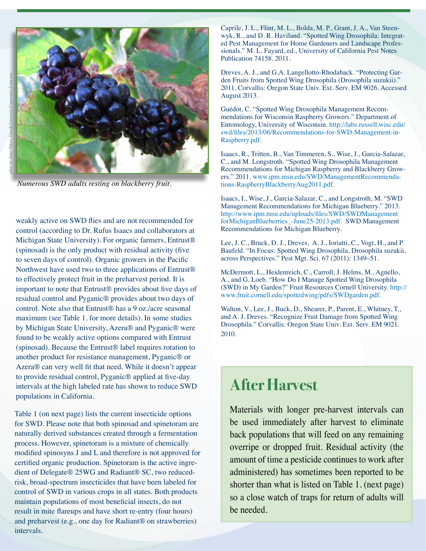

*Numerous SWD adults resting on blackberry fruit.*

weakly active on SWD flies and are not recommended for control (according to Dr. Rufus Isaacs and collaborators at Michigan State University). For organic farmers, Entrust® (spinosad) is the only product with residual activity (five to seven days of control). Organic growers in the Pacific Northwest have used two to three applications of Entrust® to effectively protect fruit in the preharvest period. It is important to note that Entrust® provides about five days of residual control and Pyganic® provides about two days of control. Note also that Entrust® has a 9 oz./acre seasonal maximum (see Table 1. for more details). In some studies by Michigan State University, Azera® and Pyganic® were found to be weakly active options compared with Entrust (spinosad). Because the Entrust® label requires rotation to another product for resistance management, Pyganic® or Azera® can very well fit that need. While it doesn't appear to provide residual control, Pyganic® applied at five-day intervals at the high labeled rate has shown to reduce SWD populations in California.

Table 1 (on next page) lists the current insecticide options for SWD. Please note that both spinosad and spinetoram are naturally derived substances created through a fermentation process. However, spinetoram is a mixture of chemically modified spinosyns J and L and therefore is not approved for certified organic production. Spinetoram is the active ingredient of Delegate® 25WG and Radiant® SC, two reducedrisk, broad-spectrum insecticides that have been labeled for control of SWD in various crops in all states. Both products maintain populations of most beneficial insects, do not result in mite flareups and have short re-entry (four hours) and preharvest (e.g., one day for Radiant® on strawberries) intervals.

Caprile, J. L., Flint, M. L., Bolda, M. P., Grant, J. A., Van Steenwyk, R., and D. R. Haviland. "Spotted Wing Drosophila: Integrated Pest Management for Home Gardeners and Landscape Professionals." M. L. Fayard, ed., University of California Pest Notes Publication 74158. 2011.

Dreves, A. J., and G.A. Langellotto-Rhodaback. "Protecting Garden Fruits from Spotted Wing Drosophila (Drosophila suzukii)." 2011. Corvallis: Oregon State Univ. Ext. Serv. EM 9026. Accessed August 2013.

Guédot, C. "Spotted Wing Drosophila Management Recommendations for Wisconsin Raspberry Growers." Department of Entomology, University of Wisconsin. http://labs.russell.wisc.edu/ swd/files/2013/06/Recommendations-for-SWD-Management-in-Raspberry.pdf.

Isaacs, R., Tritten, B., Van Timmeren, S., Wise, J., Garcia-Salazar, C., and M. Longstroth. "Spotted Wing Drosophila Management Recommendations for Michigan Raspberry and Blackberry Growers." 2011. www.ipm.msu.edu/SWD/ManagementRecommendations-RaspberryBlackberryAug2011.pdf.

Isaacs, I., Wise, J., Garcia-Salazar, C., and Longstroth, M. "SWD Management Recommendations for Michigan Blueberry." 2013. http://www.ipm.msu.edu/uploads/files/SWD/SWDManagement forMichiganBlueberries\_-June25-2013.pdf. SWD Management Recommendations for Michigan Blueberry.

Lee, J. C., Bruck, D. J., Dreves, A. J., Ioriatti, C., Vogt, H., and P. Baufeld. "In Focus: Spotted Wing Drosophila, Drosophila suzukii, across Perspectives." Pest Mgt. Sci. 67 (2011): 1349–51.

McDermott, L., Heidenreich, C., Carroll, J. Helms, M., Agnello, A., and G. Loeb. "How Do I Manage Spotted Wing Drosophila (SWD) in My Garden?" Fruit Resources Cornell University. http:// www.fruit.cornell.edu/spottedwing/pdfs/SWDgarden.pdf.

Walton, V., Lee, J., Buck, D., Shearer, P., Parent, E., Whitney, T., and A. J. Dreves. "Recognize Fruit Damage from Spotted Wing Drosophila." Corvallis: Oregon State Univ. Ext. Serv. EM 9021. 2010.

## **After Harvest**

Materials with longer pre-harvest intervals can be used immediately after harvest to eliminate back populations that will feed on any remaining overripe or dropped fruit. Residual activity (the amount of time a pesticide continues to work after administered) has sometimes been reported to be shorter than what is listed on Table 1. (next page) so a close watch of traps for return of adults will be needed.